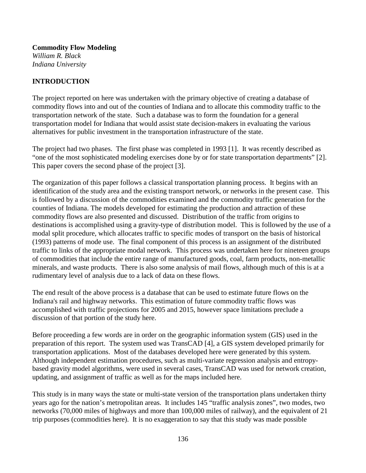**Commodity Flow Modeling** *William R. Black Indiana University*

# **INTRODUCTION**

The project reported on here was undertaken with the primary objective of creating a database of commodity flows into and out of the counties of Indiana and to allocate this commodity traffic to the transportation network of the state. Such a database was to form the foundation for a general transportation model for Indiana that would assist state decision-makers in evaluating the various alternatives for public investment in the transportation infrastructure of the state.

The project had two phases. The first phase was completed in 1993 [1]. It was recently described as "one of the most sophisticated modeling exercises done by or for state transportation departments" [2]. This paper covers the second phase of the project [3].

The organization of this paper follows a classical transportation planning process. It begins with an identification of the study area and the existing transport network, or networks in the present case. This is followed by a discussion of the commodities examined and the commodity traffic generation for the counties of Indiana. The models developed for estimating the production and attraction of these commodity flows are also presented and discussed. Distribution of the traffic from origins to destinations is accomplished using a gravity-type of distribution model. This is followed by the use of a modal split procedure, which allocates traffic to specific modes of transport on the basis of historical (1993) patterns of mode use. The final component of this process is an assignment of the distributed traffic to links of the appropriate modal network. This process was undertaken here for nineteen groups of commodities that include the entire range of manufactured goods, coal, farm products, non-metallic minerals, and waste products. There is also some analysis of mail flows, although much of this is at a rudimentary level of analysis due to a lack of data on these flows.

The end result of the above process is a database that can be used to estimate future flows on the Indiana's rail and highway networks. This estimation of future commodity traffic flows was accomplished with traffic projections for 2005 and 2015, however space limitations preclude a discussion of that portion of the study here.

Before proceeding a few words are in order on the geographic information system (GIS) used in the preparation of this report. The system used was TransCAD [4], a GIS system developed primarily for transportation applications. Most of the databases developed here were generated by this system. Although independent estimation procedures, such as multi-variate regression analysis and entropybased gravity model algorithms, were used in several cases, TransCAD was used for network creation, updating, and assignment of traffic as well as for the maps included here.

This study is in many ways the state or multi-state version of the transportation plans undertaken thirty years ago for the nation's metropolitan areas. It includes 145 "traffic analysis zones", two modes, two networks (70,000 miles of highways and more than 100,000 miles of railway), and the equivalent of 21 trip purposes (commodities here). It is no exaggeration to say that this study was made possible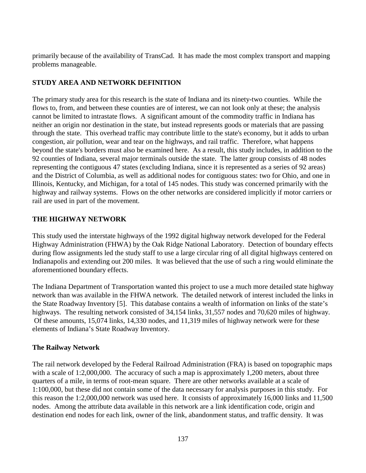primarily because of the availability of TransCad. It has made the most complex transport and mapping problems manageable.

# **STUDY AREA AND NETWORK DEFINITION**

The primary study area for this research is the state of Indiana and its ninety-two counties. While the flows to, from, and between these counties are of interest, we can not look only at these; the analysis cannot be limited to intrastate flows. A significant amount of the commodity traffic in Indiana has neither an origin nor destination in the state, but instead represents goods or materials that are passing through the state. This overhead traffic may contribute little to the state's economy, but it adds to urban congestion, air pollution, wear and tear on the highways, and rail traffic. Therefore, what happens beyond the state's borders must also be examined here. As a result, this study includes, in addition to the 92 counties of Indiana, several major terminals outside the state. The latter group consists of 48 nodes representing the contiguous 47 states (excluding Indiana, since it is represented as a series of 92 areas) and the District of Columbia, as well as additional nodes for contiguous states: two for Ohio, and one in Illinois, Kentucky, and Michigan, for a total of 145 nodes. This study was concerned primarily with the highway and railway systems. Flows on the other networks are considered implicitly if motor carriers or rail are used in part of the movement.

# **THE HIGHWAY NETWORK**

This study used the interstate highways of the 1992 digital highway network developed for the Federal Highway Administration (FHWA) by the Oak Ridge National Laboratory. Detection of boundary effects during flow assignments led the study staff to use a large circular ring of all digital highways centered on Indianapolis and extending out 200 miles. It was believed that the use of such a ring would eliminate the aforementioned boundary effects.

The Indiana Department of Transportation wanted this project to use a much more detailed state highway network than was available in the FHWA network. The detailed network of interest included the links in the State Roadway Inventory [5]. This database contains a wealth of information on links of the state's highways. The resulting network consisted of 34,154 links, 31,557 nodes and 70,620 miles of highway. Of these amounts, 15,074 links, 14,330 nodes, and 11,319 miles of highway network were for these elements of Indiana's State Roadway Inventory.

# **The Railway Network**

The rail network developed by the Federal Railroad Administration (FRA) is based on topographic maps with a scale of 1:2,000,000. The accuracy of such a map is approximately 1,200 meters, about three quarters of a mile, in terms of root-mean square. There are other networks available at a scale of 1:100,000, but these did not contain some of the data necessary for analysis purposes in this study. For this reason the 1:2,000,000 network was used here. It consists of approximately 16,000 links and 11,500 nodes. Among the attribute data available in this network are a link identification code, origin and destination end nodes for each link, owner of the link, abandonment status, and traffic density. It was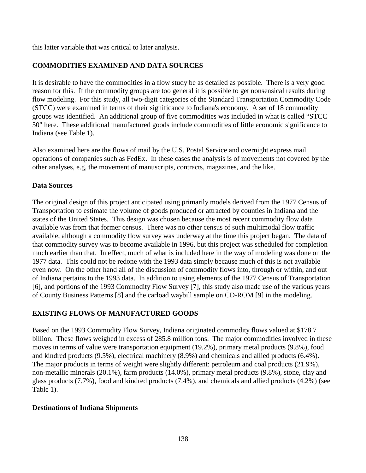this latter variable that was critical to later analysis.

# **COMMODITIES EXAMINED AND DATA SOURCES**

It is desirable to have the commodities in a flow study be as detailed as possible. There is a very good reason for this. If the commodity groups are too general it is possible to get nonsensical results during flow modeling. For this study, all two-digit categories of the Standard Transportation Commodity Code (STCC) were examined in terms of their significance to Indiana's economy. A set of 18 commodity groups was identified. An additional group of five commodities was included in what is called "STCC 50" here. These additional manufactured goods include commodities of little economic significance to Indiana (see Table 1).

Also examined here are the flows of mail by the U.S. Postal Service and overnight express mail operations of companies such as FedEx. In these cases the analysis is of movements not covered by the other analyses, e.g, the movement of manuscripts, contracts, magazines, and the like.

## **Data Sources**

The original design of this project anticipated using primarily models derived from the 1977 Census of Transportation to estimate the volume of goods produced or attracted by counties in Indiana and the states of the United States. This design was chosen because the most recent commodity flow data available was from that former census. There was no other census of such multimodal flow traffic available, although a commodity flow survey was underway at the time this project began. The data of that commodity survey was to become available in 1996, but this project was scheduled for completion much earlier than that. In effect, much of what is included here in the way of modeling was done on the 1977 data. This could not be redone with the 1993 data simply because much of this is not available even now. On the other hand all of the discussion of commodity flows into, through or within, and out of Indiana pertains to the 1993 data. In addition to using elements of the 1977 Census of Transportation [6], and portions of the 1993 Commodity Flow Survey [7], this study also made use of the various years of County Business Patterns [8] and the carload waybill sample on CD-ROM [9] in the modeling.

# **EXISTING FLOWS OF MANUFACTURED GOODS**

Based on the 1993 Commodity Flow Survey, Indiana originated commodity flows valued at \$178.7 billion. These flows weighed in excess of 285.8 million tons. The major commodities involved in these moves in terms of value were transportation equipment (19.2%), primary metal products (9.8%), food and kindred products (9.5%), electrical machinery (8.9%) and chemicals and allied products (6.4%). The major products in terms of weight were slightly different: petroleum and coal products (21.9%), non-metallic minerals (20.1%), farm products (14.0%), primary metal products (9.8%), stone, clay and glass products (7.7%), food and kindred products (7.4%), and chemicals and allied products (4.2%) (see Table 1).

#### **Destinations of Indiana Shipments**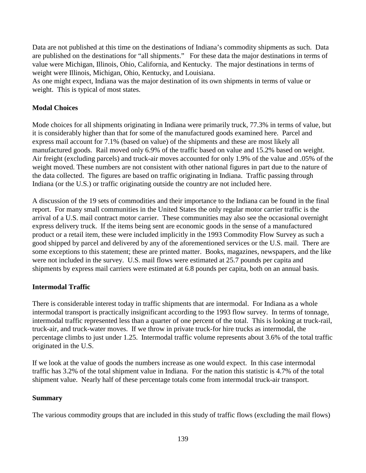Data are not published at this time on the destinations of Indiana's commodity shipments as such. Data are published on the destinations for "all shipments." For these data the major destinations in terms of value were Michigan, Illinois, Ohio, California, and Kentucky. The major destinations in terms of weight were Illinois, Michigan, Ohio, Kentucky, and Louisiana.

As one might expect, Indiana was the major destination of its own shipments in terms of value or weight. This is typical of most states.

## **Modal Choices**

Mode choices for all shipments originating in Indiana were primarily truck, 77.3% in terms of value, but it is considerably higher than that for some of the manufactured goods examined here. Parcel and express mail account for 7.1% (based on value) of the shipments and these are most likely all manufactured goods. Rail moved only 6.9% of the traffic based on value and 15.2% based on weight. Air freight (excluding parcels) and truck-air moves accounted for only 1.9% of the value and .05% of the weight moved. These numbers are not consistent with other national figures in part due to the nature of the data collected. The figures are based on traffic originating in Indiana. Traffic passing through Indiana (or the U.S.) or traffic originating outside the country are not included here.

A discussion of the 19 sets of commodities and their importance to the Indiana can be found in the final report. For many small communities in the United States the only regular motor carrier traffic is the arrival of a U.S. mail contract motor carrier. These communities may also see the occasional overnight express delivery truck. If the items being sent are economic goods in the sense of a manufactured product or a retail item, these were included implicitly in the 1993 Commodity Flow Survey as such a good shipped by parcel and delivered by any of the aforementioned services or the U.S. mail. There are some exceptions to this statement; these are printed matter. Books, magazines, newspapers, and the like were not included in the survey. U.S. mail flows were estimated at 25.7 pounds per capita and shipments by express mail carriers were estimated at 6.8 pounds per capita, both on an annual basis.

#### **Intermodal Traffic**

There is considerable interest today in traffic shipments that are intermodal. For Indiana as a whole intermodal transport is practically insignificant according to the 1993 flow survey. In terms of tonnage, intermodal traffic represented less than a quarter of one percent of the total. This is looking at truck-rail, truck-air, and truck-water moves. If we throw in private truck-for hire trucks as intermodal, the percentage climbs to just under 1.25. Intermodal traffic volume represents about 3.6% of the total traffic originated in the U.S.

If we look at the value of goods the numbers increase as one would expect. In this case intermodal traffic has 3.2% of the total shipment value in Indiana. For the nation this statistic is 4.7% of the total shipment value. Nearly half of these percentage totals come from intermodal truck-air transport.

#### **Summary**

The various commodity groups that are included in this study of traffic flows (excluding the mail flows)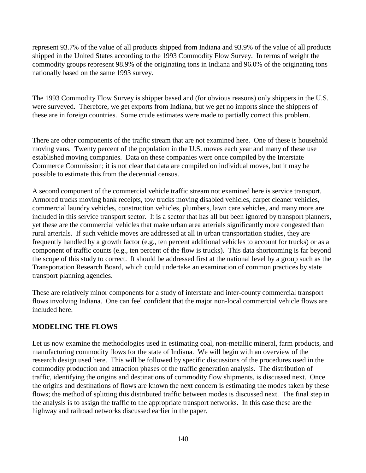represent 93.7% of the value of all products shipped from Indiana and 93.9% of the value of all products shipped in the United States according to the 1993 Commodity Flow Survey. In terms of weight the commodity groups represent 98.9% of the originating tons in Indiana and 96.0% of the originating tons nationally based on the same 1993 survey.

The 1993 Commodity Flow Survey is shipper based and (for obvious reasons) only shippers in the U.S. were surveyed. Therefore, we get exports from Indiana, but we get no imports since the shippers of these are in foreign countries. Some crude estimates were made to partially correct this problem.

There are other components of the traffic stream that are not examined here. One of these is household moving vans. Twenty percent of the population in the U.S. moves each year and many of these use established moving companies. Data on these companies were once compiled by the Interstate Commerce Commission; it is not clear that data are compiled on individual moves, but it may be possible to estimate this from the decennial census.

A second component of the commercial vehicle traffic stream not examined here is service transport. Armored trucks moving bank receipts, tow trucks moving disabled vehicles, carpet cleaner vehicles, commercial laundry vehicles, construction vehicles, plumbers, lawn care vehicles, and many more are included in this service transport sector. It is a sector that has all but been ignored by transport planners, yet these are the commercial vehicles that make urban area arterials significantly more congested than rural arterials. If such vehicle moves are addressed at all in urban transportation studies, they are frequently handled by a growth factor (e.g., ten percent additional vehicles to account for trucks) or as a component of traffic counts (e.g., ten percent of the flow is trucks). This data shortcoming is far beyond the scope of this study to correct. It should be addressed first at the national level by a group such as the Transportation Research Board, which could undertake an examination of common practices by state transport planning agencies.

These are relatively minor components for a study of interstate and inter-county commercial transport flows involving Indiana. One can feel confident that the major non-local commercial vehicle flows are included here.

# **MODELING THE FLOWS**

Let us now examine the methodologies used in estimating coal, non-metallic mineral, farm products, and manufacturing commodity flows for the state of Indiana. We will begin with an overview of the research design used here. This will be followed by specific discussions of the procedures used in the commodity production and attraction phases of the traffic generation analysis. The distribution of traffic, identifying the origins and destinations of commodity flow shipments, is discussed next. Once the origins and destinations of flows are known the next concern is estimating the modes taken by these flows; the method of splitting this distributed traffic between modes is discussed next. The final step in the analysis is to assign the traffic to the appropriate transport networks. In this case these are the highway and railroad networks discussed earlier in the paper.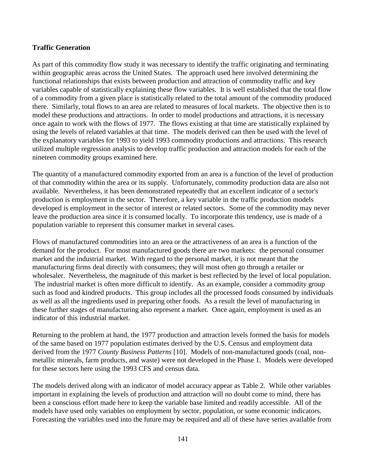## **Traffic Generation**

As part of this commodity flow study it was necessary to identify the traffic originating and terminating within geographic areas across the United States. The approach used here involved determining the functional relationships that exists between production and attraction of commodity traffic and key variables capable of statistically explaining these flow variables. It is well established that the total flow of a commodity from a given place is statistically related to the total amount of the commodity produced there. Similarly, total flows to an area are related to measures of local markets. The objective then is to model these productions and attractions. In order to model productions and attractions, it is necessary once again to work with the flows of 1977. The flows existing at that time are statistically explained by using the levels of related variables at that time. The models derived can then be used with the level of the explanatory variables for 1993 to yield 1993 commodity productions and attractions. This research utilized multiple regression analysis to develop traffic production and attraction models for each of the nineteen commodity groups examined here.

The quantity of a manufactured commodity exported from an area is a function of the level of production of that commodity within the area or its supply. Unfortunately, commodity production data are also not available. Nevertheless, it has been demonstrated repeatedly that an excellent indicator of a sector's production is employment in the sector. Therefore, a key variable in the traffic production models developed is employment in the sector of interest or related sectors. Some of the commodity may never leave the production area since it is consumed locally. To incorporate this tendency, use is made of a population variable to represent this consumer market in several cases.

Flows of manufactured commodities into an area or the attractiveness of an area is a function of the demand for the product. For most manufactured goods there are two markets: the personal consumer market and the industrial market. With regard to the personal market, it is not meant that the manufacturing firms deal directly with consumers; they will most often go through a retailer or wholesaler. Nevertheless, the magnitude of this market is best reflected by the level of local population. The industrial market is often more difficult to identify. As an example, consider a commodity group such as food and kindred products. This group includes all the processed foods consumed by individuals as well as all the ingredients used in preparing other foods. As a result the level of manufacturing in these further stages of manufacturing also represent a market. Once again, employment is used as an indicator of this industrial market.

Returning to the problem at hand, the 1977 production and attraction levels formed the basis for models of the same based on 1977 population estimates derived by the U.S. Census and employment data derived from the 1977 *County Business Patterns* [10]. Models of non-manufactured goods (coal, nonmetallic minerals, farm products, and waste) were not developed in the Phase 1. Models were developed for these sectors here using the 1993 CFS and census data.

The models derived along with an indicator of model accuracy appear as Table 2. While other variables important in explaining the levels of production and attraction will no doubt come to mind, there has been a conscious effort made here to keep the variable base limited and readily accessible. All of the models have used only variables on employment by sector, population, or some economic indicators. Forecasting the variables used into the future may be required and all of these have series available from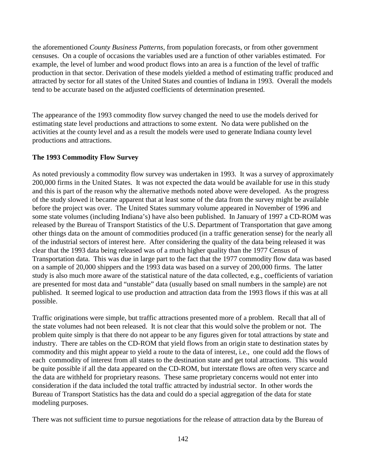the aforementioned *County Business Patterns*, from population forecasts, or from other government censuses. On a couple of occasions the variables used are a function of other variables estimated. For example, the level of lumber and wood product flows into an area is a function of the level of traffic production in that sector. Derivation of these models yielded a method of estimating traffic produced and attracted by sector for all states of the United States and counties of Indiana in 1993. Overall the models tend to be accurate based on the adjusted coefficients of determination presented.

The appearance of the 1993 commodity flow survey changed the need to use the models derived for estimating state level productions and attractions to some extent. No data were published on the activities at the county level and as a result the models were used to generate Indiana county level productions and attractions.

# **The 1993 Commodity Flow Survey**

As noted previously a commodity flow survey was undertaken in 1993. It was a survey of approximately 200,000 firms in the United States. It was not expected the data would be available for use in this study and this is part of the reason why the alternative methods noted above were developed. As the progress of the study slowed it became apparent that at least some of the data from the survey might be available before the project was over. The United States summary volume appeared in November of 1996 and some state volumes (including Indiana's) have also been published. In January of 1997 a CD-ROM was released by the Bureau of Transport Statistics of the U.S. Department of Transportation that gave among other things data on the amount of commodities produced (in a traffic generation sense) for the nearly all of the industrial sectors of interest here. After considering the quality of the data being released it was clear that the 1993 data being released was of a much higher quality than the 1977 Census of Transportation data. This was due in large part to the fact that the 1977 commodity flow data was based on a sample of 20,000 shippers and the 1993 data was based on a survey of 200,000 firms. The latter study is also much more aware of the statistical nature of the data collected, e.g., coefficients of variation are presented for most data and "unstable" data (usually based on small numbers in the sample) are not published. It seemed logical to use production and attraction data from the 1993 flows if this was at all possible.

Traffic originations were simple, but traffic attractions presented more of a problem. Recall that all of the state volumes had not been released. It is not clear that this would solve the problem or not. The problem quite simply is that there do not appear to be any figures given for total attractions by state and industry. There are tables on the CD-ROM that yield flows from an origin state to destination states by commodity and this might appear to yield a route to the data of interest, i.e., one could add the flows of each commodity of interest from all states to the destination state and get total attractions. This would be quite possible if all the data appeared on the CD-ROM, but interstate flows are often very scarce and the data are withheld for proprietary reasons. These same proprietary concerns would not enter into consideration if the data included the total traffic attracted by industrial sector. In other words the Bureau of Transport Statistics has the data and could do a special aggregation of the data for state modeling purposes.

There was not sufficient time to pursue negotiations for the release of attraction data by the Bureau of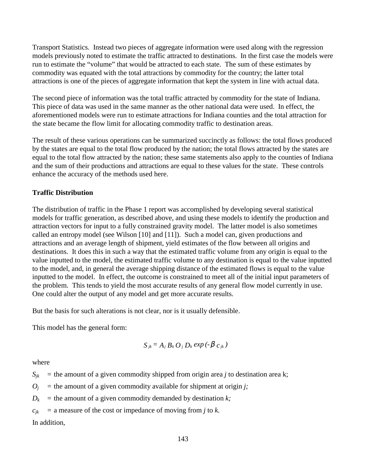Transport Statistics. Instead two pieces of aggregate information were used along with the regression models previously noted to estimate the traffic attracted to destinations. In the first case the models were run to estimate the "volume" that would be attracted to each state. The sum of these estimates by commodity was equated with the total attractions by commodity for the country; the latter total attractions is one of the pieces of aggregate information that kept the system in line with actual data.

The second piece of information was the total traffic attracted by commodity for the state of Indiana. This piece of data was used in the same manner as the other national data were used. In effect, the aforementioned models were run to estimate attractions for Indiana counties and the total attraction for the state became the flow limit for allocating commodity traffic to destination areas.

The result of these various operations can be summarized succinctly as follows: the total flows produced by the states are equal to the total flow produced by the nation; the total flows attracted by the states are equal to the total flow attracted by the nation; these same statements also apply to the counties of Indiana and the sum of their productions and attractions are equal to these values for the state. These controls enhance the accuracy of the methods used here.

# **Traffic Distribution**

The distribution of traffic in the Phase 1 report was accomplished by developing several statistical models for traffic generation, as described above, and using these models to identify the production and attraction vectors for input to a fully constrained gravity model. The latter model is also sometimes called an entropy model (see Wilson [10] and [11]). Such a model can, given productions and attractions and an average length of shipment, yield estimates of the flow between all origins and destinations. It does this in such a way that the estimated traffic volume from any origin is equal to the value inputted to the model, the estimated traffic volume to any destination is equal to the value inputted to the model, and, in general the average shipping distance of the estimated flows is equal to the value inputted to the model. In effect, the outcome is constrained to meet all of the initial input parameters of the problem. This tends to yield the most accurate results of any general flow model currently in use. One could alter the output of any model and get more accurate results.

But the basis for such alterations is not clear, nor is it usually defensible.

This model has the general form:

$$
S_{jk} = A_j B_k O_j D_k exp(-\beta c_{jk})
$$

where

 $S_{ik}$  = the amount of a given commodity shipped from origin area *j* to destination area k;

 $O_i$  = the amount of a given commodity available for shipment at origin *j*;

 $D_k$  = the amount of a given commodity demanded by destination *k*;

 $c_{ik}$  = a measure of the cost or impedance of moving from *j* to *k*.

In addition,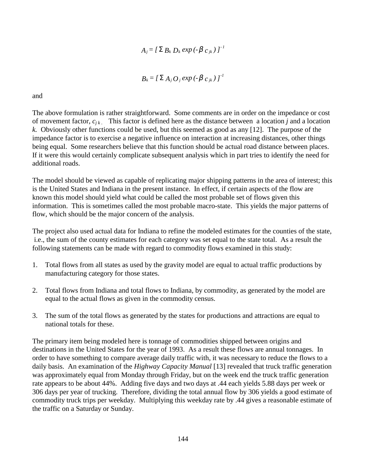$$
A_j = \left[ \sum B_k D_k \exp \left( -\beta c_{jk} \right) \right]^{-1}
$$

$$
B_k = \left[ \sum A_j O_j \exp \left( -\beta c_{jk} \right) \right]^{-1}
$$

and

The above formulation is rather straightforward. Some comments are in order on the impedance or cost of movement factor, *cj k* . This factor is defined here as the distance between a location *j* and a location *k.* Obviously other functions could be used, but this seemed as good as any [12]. The purpose of the impedance factor is to exercise a negative influence on interaction at increasing distances, other things being equal. Some researchers believe that this function should be actual road distance between places. If it were this would certainly complicate subsequent analysis which in part tries to identify the need for additional roads.

The model should be viewed as capable of replicating major shipping patterns in the area of interest; this is the United States and Indiana in the present instance. In effect, if certain aspects of the flow are known this model should yield what could be called the most probable set of flows given this information. This is sometimes called the most probable macro-state. This yields the major patterns of flow, which should be the major concern of the analysis.

The project also used actual data for Indiana to refine the modeled estimates for the counties of the state, i.e., the sum of the county estimates for each category was set equal to the state total. As a result the following statements can be made with regard to commodity flows examined in this study:

- 1. Total flows from all states as used by the gravity model are equal to actual traffic productions by manufacturing category for those states.
- 2. Total flows from Indiana and total flows to Indiana, by commodity, as generated by the model are equal to the actual flows as given in the commodity census.
- 3. The sum of the total flows as generated by the states for productions and attractions are equal to national totals for these.

The primary item being modeled here is tonnage of commodities shipped between origins and destinations in the United States for the year of 1993. As a result these flows are annual tonnages. In order to have something to compare average daily traffic with, it was necessary to reduce the flows to a daily basis. An examination of the *Highway Capacity Manual* [13] revealed that truck traffic generation was approximately equal from Monday through Friday, but on the week end the truck traffic generation rate appears to be about 44%. Adding five days and two days at .44 each yields 5.88 days per week or 306 days per year of trucking. Therefore, dividing the total annual flow by 306 yields a good estimate of commodity truck trips per weekday. Multiplying this weekday rate by .44 gives a reasonable estimate of the traffic on a Saturday or Sunday.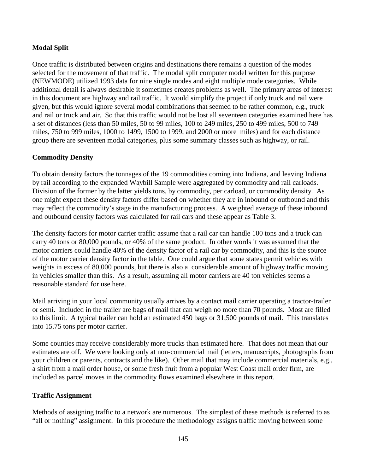# **Modal Split**

Once traffic is distributed between origins and destinations there remains a question of the modes selected for the movement of that traffic. The modal split computer model written for this purpose (NEWMODE) utilized 1993 data for nine single modes and eight multiple mode categories. While additional detail is always desirable it sometimes creates problems as well. The primary areas of interest in this document are highway and rail traffic. It would simplify the project if only truck and rail were given, but this would ignore several modal combinations that seemed to be rather common, e.g., truck and rail or truck and air. So that this traffic would not be lost all seventeen categories examined here has a set of distances (less than 50 miles, 50 to 99 miles, 100 to 249 miles, 250 to 499 miles, 500 to 749 miles, 750 to 999 miles, 1000 to 1499, 1500 to 1999, and 2000 or more miles) and for each distance group there are seventeen modal categories, plus some summary classes such as highway, or rail.

# **Commodity Density**

To obtain density factors the tonnages of the 19 commodities coming into Indiana, and leaving Indiana by rail according to the expanded Waybill Sample were aggregated by commodity and rail carloads. Division of the former by the latter yields tons, by commodity, per carload, or commodity density. As one might expect these density factors differ based on whether they are in inbound or outbound and this may reflect the commodity's stage in the manufacturing process. A weighted average of these inbound and outbound density factors was calculated for rail cars and these appear as Table 3.

The density factors for motor carrier traffic assume that a rail car can handle 100 tons and a truck can carry 40 tons or 80,000 pounds, or 40% of the same product. In other words it was assumed that the motor carriers could handle 40% of the density factor of a rail car by commodity, and this is the source of the motor carrier density factor in the table. One could argue that some states permit vehicles with weights in excess of 80,000 pounds, but there is also a considerable amount of highway traffic moving in vehicles smaller than this. As a result, assuming all motor carriers are 40 ton vehicles seems a reasonable standard for use here.

Mail arriving in your local community usually arrives by a contact mail carrier operating a tractor-trailer or semi. Included in the trailer are bags of mail that can weigh no more than 70 pounds. Most are filled to this limit. A typical trailer can hold an estimated 450 bags or 31,500 pounds of mail. This translates into 15.75 tons per motor carrier.

Some counties may receive considerably more trucks than estimated here. That does not mean that our estimates are off. We were looking only at non-commercial mail (letters, manuscripts, photographs from your children or parents, contracts and the like). Other mail that may include commercial materials, e.g., a shirt from a mail order house, or some fresh fruit from a popular West Coast mail order firm, are included as parcel moves in the commodity flows examined elsewhere in this report.

# **Traffic Assignment**

Methods of assigning traffic to a network are numerous. The simplest of these methods is referred to as "all or nothing" assignment. In this procedure the methodology assigns traffic moving between some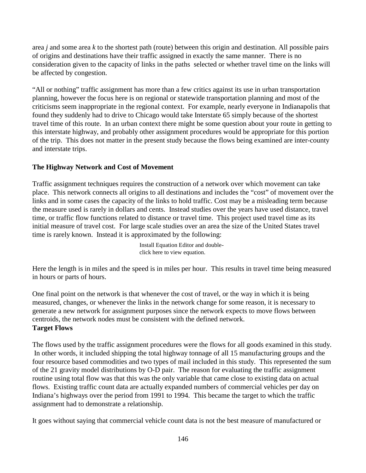area *j* and some area *k* to the shortest path (route) between this origin and destination. All possible pairs of origins and destinations have their traffic assigned in exactly the same manner. There is no consideration given to the capacity of links in the paths selected or whether travel time on the links will be affected by congestion.

"All or nothing" traffic assignment has more than a few critics against its use in urban transportation planning, however the focus here is on regional or statewide transportation planning and most of the criticisms seem inappropriate in the regional context. For example, nearly everyone in Indianapolis that found they suddenly had to drive to Chicago would take Interstate 65 simply because of the shortest travel time of this route. In an urban context there might be some question about your route in getting to this interstate highway, and probably other assignment procedures would be appropriate for this portion of the trip. This does not matter in the present study because the flows being examined are inter-county and interstate trips.

# **The Highway Network and Cost of Movement**

Traffic assignment techniques requires the construction of a network over which movement can take place. This network connects all origins to all destinations and includes the "cost" of movement over the links and in some cases the capacity of the links to hold traffic. Cost may be a misleading term because the measure used is rarely in dollars and cents. Instead studies over the years have used distance, travel time, or traffic flow functions related to distance or travel time. This project used travel time as its initial measure of travel cost. For large scale studies over an area the size of the United States travel time is rarely known. Instead it is approximated by the following:

> Install Equation Editor and doubleclick here to view equation.

Here the length is in miles and the speed is in miles per hour. This results in travel time being measured in hours or parts of hours.

One final point on the network is that whenever the cost of travel, or the way in which it is being measured, changes, or whenever the links in the network change for some reason, it is necessary to generate a new network for assignment purposes since the network expects to move flows between centroids, the network nodes must be consistent with the defined network. **Target Flows**

The flows used by the traffic assignment procedures were the flows for all goods examined in this study. In other words, it included shipping the total highway tonnage of all 15 manufacturing groups and the four resource based commodities and two types of mail included in this study. This represented the sum of the 21 gravity model distributions by O-D pair. The reason for evaluating the traffic assignment routine using total flow was that this was the only variable that came close to existing data on actual flows. Existing traffic count data are actually expanded numbers of commercial vehicles per day on Indiana's highways over the period from 1991 to 1994. This became the target to which the traffic assignment had to demonstrate a relationship.

It goes without saying that commercial vehicle count data is not the best measure of manufactured or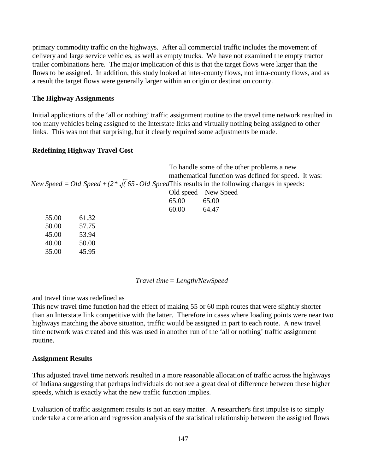primary commodity traffic on the highways. After all commercial traffic includes the movement of delivery and large service vehicles, as well as empty trucks. We have not examined the empty tractor trailer combinations here. The major implication of this is that the target flows were larger than the flows to be assigned. In addition, this study looked at inter-county flows, not intra-county flows, and as a result the target flows were generally larger within an origin or destination county.

#### **The Highway Assignments**

Initial applications of the 'all or nothing' traffic assignment routine to the travel time network resulted in too many vehicles being assigned to the Interstate links and virtually nothing being assigned to other links. This was not that surprising, but it clearly required some adjustments be made.

#### **Redefining Highway Travel Cost**

|       |       |           | To handle some of the other problems a new                                                                 |
|-------|-------|-----------|------------------------------------------------------------------------------------------------------------|
|       |       |           | mathematical function was defined for speed. It was:                                                       |
|       |       |           | New Speed = Old Speed + $(2 \times \sqrt{(65 - Old SpeedThis}$ results in the following changes in speeds: |
|       |       | Old speed | New Speed                                                                                                  |
|       |       | 65.00     | 65.00                                                                                                      |
|       |       | 60.00     | 64.47                                                                                                      |
| 55.00 | 61.32 |           |                                                                                                            |
| 50.00 | 57.75 |           |                                                                                                            |
| 45.00 | 53.94 |           |                                                                                                            |
| 40.00 | 50.00 |           |                                                                                                            |
| 35.00 | 45.95 |           |                                                                                                            |
|       |       |           |                                                                                                            |

#### *Travel time= Length/NewSpeed*

and travel time was redefined as

This new travel time function had the effect of making 55 or 60 mph routes that were slightly shorter than an Interstate link competitive with the latter. Therefore in cases where loading points were near two highways matching the above situation, traffic would be assigned in part to each route. A new travel time network was created and this was used in another run of the 'all or nothing' traffic assignment routine.

#### **Assignment Results**

This adjusted travel time network resulted in a more reasonable allocation of traffic across the highways of Indiana suggesting that perhaps individuals do not see a great deal of difference between these higher speeds, which is exactly what the new traffic function implies.

Evaluation of traffic assignment results is not an easy matter. A researcher's first impulse is to simply undertake a correlation and regression analysis of the statistical relationship between the assigned flows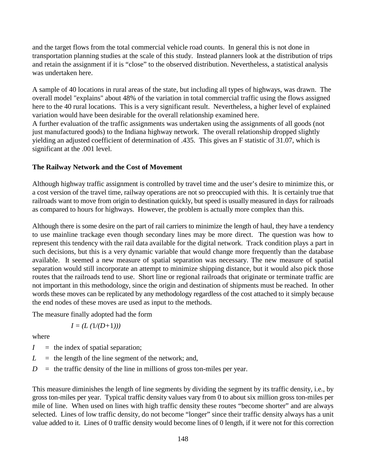and the target flows from the total commercial vehicle road counts. In general this is not done in transportation planning studies at the scale of this study. Instead planners look at the distribution of trips and retain the assignment if it is "close" to the observed distribution. Nevertheless, a statistical analysis was undertaken here.

A sample of 40 locations in rural areas of the state, but including all types of highways, was drawn. The overall model "explains" about 48% of the variation in total commercial traffic using the flows assigned here to the 40 rural locations. This is a very significant result. Nevertheless, a higher level of explained variation would have been desirable for the overall relationship examined here.

A further evaluation of the traffic assignments was undertaken using the assignments of all goods (not just manufactured goods) to the Indiana highway network. The overall relationship dropped slightly yielding an adjusted coefficient of determination of .435. This gives an F statistic of 31.07, which is significant at the .001 level.

## **The Railway Network and the Cost of Movement**

Although highway traffic assignment is controlled by travel time and the user's desire to minimize this, or a cost version of the travel time, railway operations are not so preoccupied with this. It is certainly true that railroads want to move from origin to destination quickly, but speed is usually measured in days for railroads as compared to hours for highways. However, the problem is actually more complex than this.

Although there is some desire on the part of rail carriers to minimize the length of haul, they have a tendency to use mainline trackage even though secondary lines may be more direct. The question was how to represent this tendency with the rail data available for the digital network. Track condition plays a part in such decisions, but this is a very dynamic variable that would change more frequently than the database available. It seemed a new measure of spatial separation was necessary. The new measure of spatial separation would still incorporate an attempt to minimize shipping distance, but it would also pick those routes that the railroads tend to use. Short line or regional railroads that originate or terminate traffic are not important in this methodology, since the origin and destination of shipments must be reached. In other words these moves can be replicated by any methodology regardless of the cost attached to it simply because the end nodes of these moves are used as input to the methods.

The measure finally adopted had the form

$$
I = (L (1/(D+1)))
$$

where

 $I =$  the index of spatial separation;

 $L =$  the length of the line segment of the network; and,

 $D =$  the traffic density of the line in millions of gross ton-miles per year.

This measure diminishes the length of line segments by dividing the segment by its traffic density, i.e., by gross ton-miles per year. Typical traffic density values vary from 0 to about six million gross ton-miles per mile of line. When used on lines with high traffic density these routes "become shorter" and are always selected. Lines of low traffic density, do not become "longer" since their traffic density always has a unit value added to it. Lines of 0 traffic density would become lines of 0 length, if it were not for this correction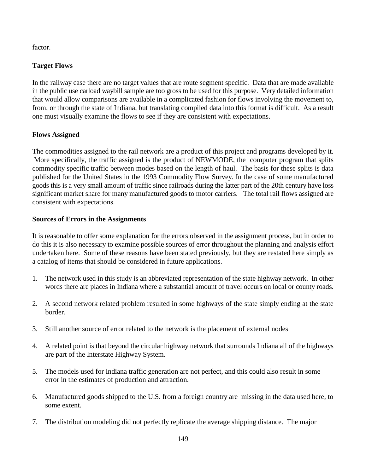factor.

# **Target Flows**

In the railway case there are no target values that are route segment specific. Data that are made available in the public use carload waybill sample are too gross to be used for this purpose. Very detailed information that would allow comparisons are available in a complicated fashion for flows involving the movement to, from, or through the state of Indiana, but translating compiled data into this format is difficult. As a result one must visually examine the flows to see if they are consistent with expectations.

# **Flows Assigned**

The commodities assigned to the rail network are a product of this project and programs developed by it. More specifically, the traffic assigned is the product of NEWMODE, the computer program that splits commodity specific traffic between modes based on the length of haul. The basis for these splits is data published for the United States in the 1993 Commodity Flow Survey. In the case of some manufactured goods this is a very small amount of traffic since railroads during the latter part of the 20th century have loss significant market share for many manufactured goods to motor carriers. The total rail flows assigned are consistent with expectations.

# **Sources of Errors in the Assignments**

It is reasonable to offer some explanation for the errors observed in the assignment process, but in order to do this it is also necessary to examine possible sources of error throughout the planning and analysis effort undertaken here. Some of these reasons have been stated previously, but they are restated here simply as a catalog of items that should be considered in future applications.

- 1. The network used in this study is an abbreviated representation of the state highway network. In other words there are places in Indiana where a substantial amount of travel occurs on local or county roads.
- 2. A second network related problem resulted in some highways of the state simply ending at the state border.
- 3. Still another source of error related to the network is the placement of external nodes
- 4. A related point is that beyond the circular highway network that surrounds Indiana all of the highways are part of the Interstate Highway System.
- 5. The models used for Indiana traffic generation are not perfect, and this could also result in some error in the estimates of production and attraction.
- 6. Manufactured goods shipped to the U.S. from a foreign country are missing in the data used here, to some extent.
- 7. The distribution modeling did not perfectly replicate the average shipping distance. The major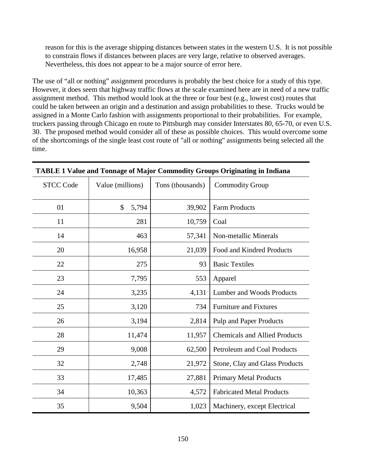reason for this is the average shipping distances between states in the western U.S. It is not possible to constrain flows if distances between places are very large, relative to observed averages. Nevertheless, this does not appear to be a major source of error here.

The use of "all or nothing" assignment procedures is probably the best choice for a study of this type. However, it does seem that highway traffic flows at the scale examined here are in need of a new traffic assignment method. This method would look at the three or four best (e.g., lowest cost) routes that could be taken between an origin and a destination and assign probabilities to these. Trucks would be assigned in a Monte Carlo fashion with assignments proportional to their probabilities. For example, truckers passing through Chicago en route to Pittsburgh may consider Interstates 80, 65-70, or even U.S. 30. The proposed method would consider all of these as possible choices. This would overcome some of the shortcomings of the single least cost route of "all or nothing" assignments being selected all the time.

| <b>STCC Code</b> | Value (millions) | Tons (thousands) | <b>Commodity Group</b>               |  |
|------------------|------------------|------------------|--------------------------------------|--|
| 01               | \$<br>5,794      | 39,902           | <b>Farm Products</b>                 |  |
| 11               | 281              | 10,759           | Coal                                 |  |
| 14               | 463              | 57,341           | Non-metallic Minerals                |  |
| 20               | 16,958           | 21,039           | Food and Kindred Products            |  |
| 22               | 275              | 93               | <b>Basic Textiles</b>                |  |
| 23               | 7,795            | 553              | Apparel                              |  |
| 24               | 3,235            | 4,131            | Lumber and Woods Products            |  |
| 25               | 3,120            | 734              | <b>Furniture and Fixtures</b>        |  |
| 26               | 3,194            | 2,814            | <b>Pulp and Paper Products</b>       |  |
| 28               | 11,474           | 11,957           | <b>Chemicals and Allied Products</b> |  |
| 29               | 9,008            | 62,500           | Petroleum and Coal Products          |  |
| 32               | 2,748            | 21,972           | Stone, Clay and Glass Products       |  |
| 33               | 17,485           | 27,881           | <b>Primary Metal Products</b>        |  |
| 34               | 10,363           | 4,572            | <b>Fabricated Metal Products</b>     |  |
| 35               | 9,504            | 1,023            | Machinery, except Electrical         |  |

## **TABLE 1 Value and Tonnage of Major Commodity Groups Originating in Indiana**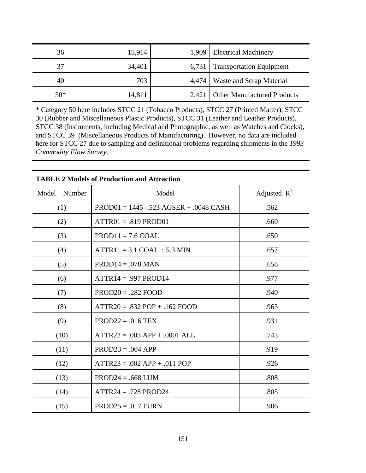| 36    | 15,914 |       | 1,909   Electrical Machinery      |
|-------|--------|-------|-----------------------------------|
| 37    | 34,401 | 6,731 | <b>Transportation Equipment</b>   |
| 40    | 703    |       | 4,474   Waste and Scrap Material  |
| $50*$ | 14,811 |       | 2,421 Other Manufactured Products |

\* Category 50 here includes STCC 21 (Tobacco Products), STCC 27 (Printed Matter), STCC 30 (Rubber and Miscellaneous Plastic Products), STCC 31 (Leather and Leather Products), STCC 38 (Instruments, including Medical and Photographic, as well as Watches and Clocks), and STCC 39 (Miscellaneous Products of Manufacturing). However, no data are included here for STCC 27 due to sampling and definitional problems regarding shipments in the *1993 Commodity Flow Survey*.

| TADLE 2 MOUCIS OF FFOUNCHON AND AUTACHON |                                          |                |  |  |  |
|------------------------------------------|------------------------------------------|----------------|--|--|--|
| Model<br>Number                          | Model                                    | Adjusted $R^2$ |  |  |  |
| (1)                                      | $PROD01 = 1445 - 523 AGSER + 0.048 CASH$ | .562           |  |  |  |
| (2)                                      | $ATTR01 = .819 PROD01$                   | .660           |  |  |  |
| (3)                                      | $PROD11 = 7.6 COAL$                      | .650           |  |  |  |
| (4)                                      | $ATTR11 = 3.1 COAL + 5.3 MIN$            | .657           |  |  |  |
| (5)                                      | $PROD14 = .078$ MAN                      | .658           |  |  |  |
| (6)                                      | $ATTR14 = .997 PROD14$                   | .977           |  |  |  |
| (7)                                      | $PROD20 = .282 FOOD$                     | .940           |  |  |  |
| (8)                                      | $ATTR20 = .832 POP + .162 FOOD$          | .965           |  |  |  |
| (9)                                      | $PROD22 = .016$ TEX                      | .931           |  |  |  |
| (10)                                     | $ATTR22 = .003 APP + .0001 ALL$          | .743           |  |  |  |
| (11)                                     | $PROD23 = .004$ APP                      | .919           |  |  |  |
| (12)                                     | $ATTR23 = .002 APP + .011 POP$           | .926           |  |  |  |
| (13)                                     | $PROD24 = .668$ LUM                      | .808           |  |  |  |
| (14)                                     | $ATTR24 = .728 PROD24$                   | .805           |  |  |  |
| (15)                                     | $PROD25 = .017$ FURN                     | .906           |  |  |  |

# **TABLE 2 Models of Production and Attraction**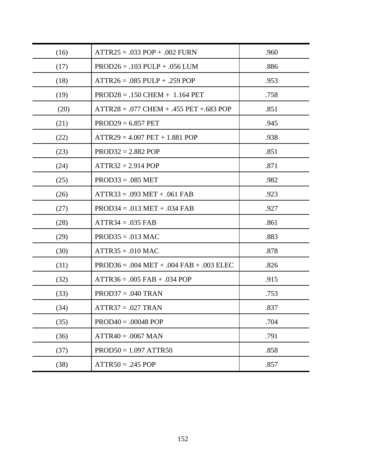| (16) | $ATTR25 = .033 POP + .002 FURN$                                   | .960 |
|------|-------------------------------------------------------------------|------|
| (17) | $PROD26 = .103$ PULP + .056 LUM                                   | .886 |
| (18) | $ATTR26 = .085$ PULP + .259 POP                                   | .953 |
| (19) | $PROD28 = .150$ CHEM $+ 1.164$ PET                                | .758 |
| (20) | $ATTR28 = .077 \text{CHEM} + .455 \text{ PET} + .683 \text{ POP}$ | .851 |
| (21) | $PROD29 = 6.857$ PET                                              | .945 |
| (22) | $ATTR29 = 4.007 PET + 1.881 POP$                                  | .938 |
| (23) | $PROD32 = 2.882 POP$                                              | .851 |
| (24) | $ATTR32 = 2.914 POP$                                              | .871 |
| (25) | $PROD33 = .085 MET$                                               | .982 |
| (26) | $ATTR33 = .093 MET + .061 FAB$                                    | .923 |
| (27) | $PROD34 = .013 MET + .034 FAB$                                    | .927 |
| (28) | $ATTR34 = .035 FAB$                                               | .861 |
| (29) | $PROD35 = .013$ MAC                                               | .883 |
| (30) | $ATTR35 = .010$ MAC                                               | .878 |
| (31) | $PROD36 = .004 MET + .004 FAB + .003 ELEC$                        | .826 |
| (32) | $ATTR36 = .005$ FAB $+ .034$ POP                                  | .915 |
| (33) | $PROD37 = .040$ TRAN                                              | .753 |
| (34) | $ATTR37 = .027$ TRAN                                              | .837 |
| (35) | $PROD40 = .00048 POP$                                             | .704 |
| (36) | $ATTR40 = .0067$ MAN                                              | .791 |
| (37) | $PROD50 = 1.097$ ATTR50                                           | .858 |
| (38) | $ATTR50 = .245 POP$                                               | .857 |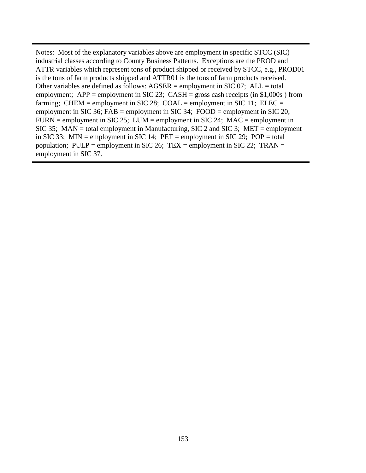Notes: Most of the explanatory variables above are employment in specific STCC (SIC) industrial classes according to County Business Patterns. Exceptions are the PROD and ATTR variables which represent tons of product shipped or received by STCC, e.g., PROD01 is the tons of farm products shipped and ATTR01 is the tons of farm products received. Other variables are defined as follows:  $AGSER =$  employment in SIC 07;  $ALL =$  total employment; APP = employment in SIC 23; CASH = gross cash receipts (in  $$1,000s$ ) from farming; CHEM = employment in SIC 28; COAL = employment in SIC 11; ELEC = employment in SIC 36; FAB = employment in SIC 34; FOOD = employment in SIC 20;  $FURN = employment$  in SIC 25; LUM = employment in SIC 24; MAC = employment in SIC 35; MAN = total employment in Manufacturing, SIC 2 and SIC 3; MET = employment in SIC 33; MIN = employment in SIC 14;  $PET =$  employment in SIC 29;  $POP =$  total population; PULP = employment in SIC 26; TEX = employment in SIC 22; TRAN = employment in SIC 37.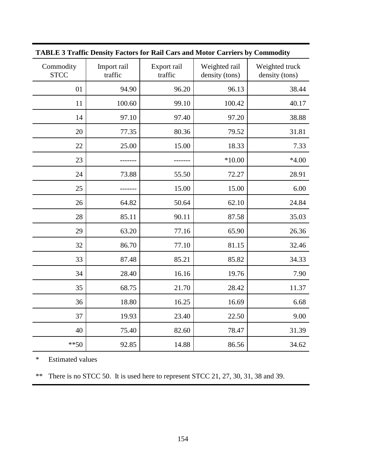| <b>TABLE 3 Traffic Density Factors for Rail Cars and Motor Carriers by Commodity</b> |                        |                        |                                 |                                  |  |
|--------------------------------------------------------------------------------------|------------------------|------------------------|---------------------------------|----------------------------------|--|
| Commodity<br><b>STCC</b>                                                             | Import rail<br>traffic | Export rail<br>traffic | Weighted rail<br>density (tons) | Weighted truck<br>density (tons) |  |
| 01                                                                                   | 94.90                  | 96.20                  | 96.13                           | 38.44                            |  |
| 11                                                                                   | 100.60                 | 99.10                  | 100.42                          | 40.17                            |  |
| 14                                                                                   | 97.10                  | 97.40                  | 97.20                           | 38.88                            |  |
| 20                                                                                   | 77.35                  | 80.36                  | 79.52                           | 31.81                            |  |
| 22                                                                                   | 25.00                  | 15.00                  | 18.33                           | 7.33                             |  |
| 23                                                                                   |                        |                        | $*10.00$                        | $*4.00$                          |  |
| 24                                                                                   | 73.88                  | 55.50                  | 72.27                           | 28.91                            |  |
| 25                                                                                   |                        | 15.00                  | 15.00                           | 6.00                             |  |
| 26                                                                                   | 64.82                  | 50.64                  | 62.10                           | 24.84                            |  |
| 28                                                                                   | 85.11                  | 90.11                  | 87.58                           | 35.03                            |  |
| 29                                                                                   | 63.20                  | 77.16                  | 65.90                           | 26.36                            |  |
| 32                                                                                   | 86.70                  | 77.10                  | 81.15                           | 32.46                            |  |
| 33                                                                                   | 87.48                  | 85.21                  | 85.82                           | 34.33                            |  |
| 34                                                                                   | 28.40                  | 16.16                  | 19.76                           | 7.90                             |  |
| 35                                                                                   | 68.75                  | 21.70                  | 28.42                           | 11.37                            |  |
| 36                                                                                   | 18.80                  | 16.25                  | 16.69                           | 6.68                             |  |
| 37                                                                                   | 19.93                  | 23.40                  | 22.50                           | 9.00                             |  |
| 40                                                                                   | 75.40                  | 82.60                  | 78.47                           | 31.39                            |  |
| $** 50$                                                                              | 92.85                  | 14.88                  | 86.56                           | 34.62                            |  |

**TABLE 3 Traffic Density Factors for Rail Cars and Motor Carriers by Commodity**

\* Estimated values

\*\* There is no STCC 50. It is used here to represent STCC 21, 27, 30, 31, 38 and 39.